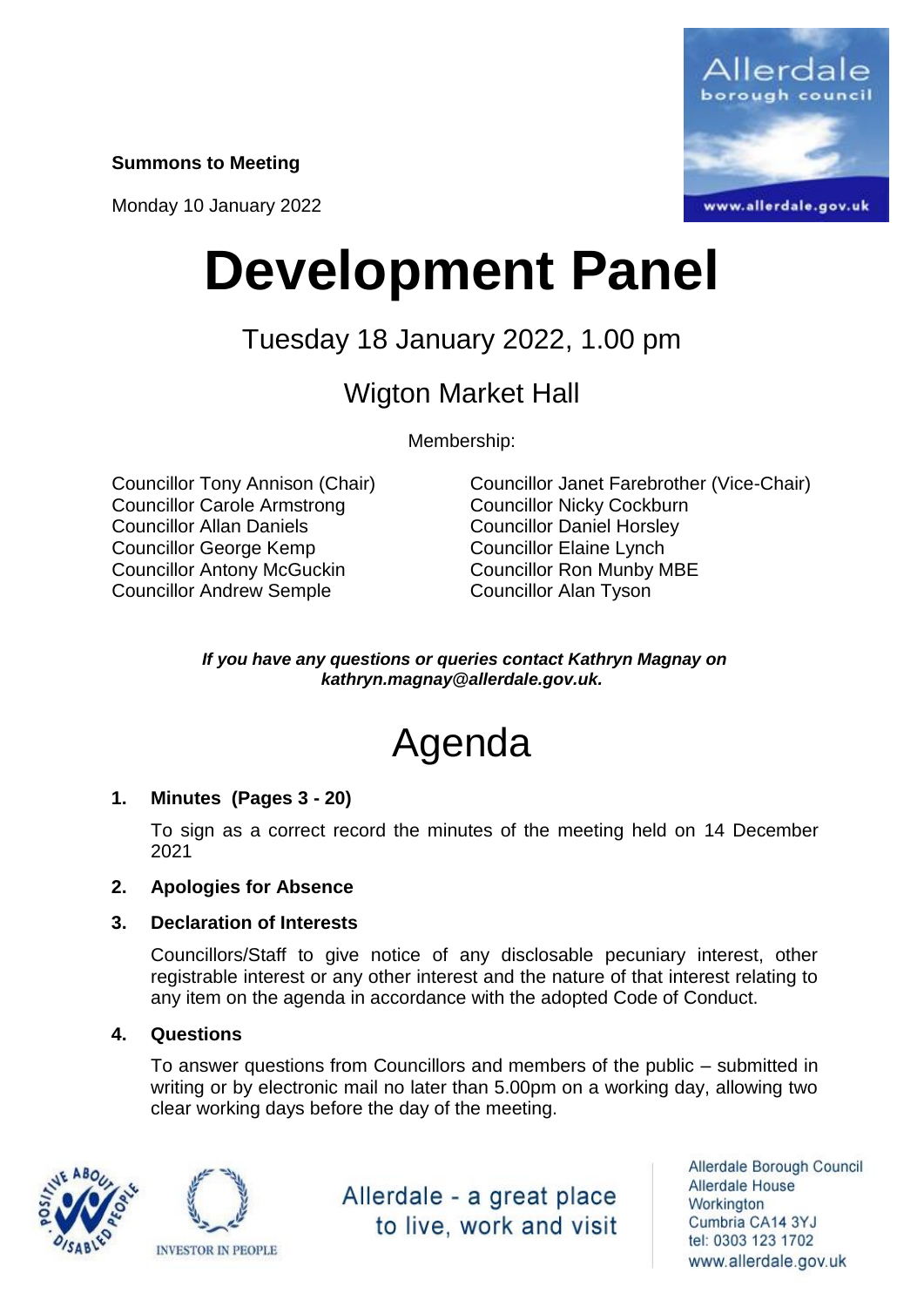**Summons to Meeting**

Monday 10 January 2022



# **Development Panel**

## Tuesday 18 January 2022, 1.00 pm

### Wigton Market Hall

Membership:

Councillor Carole Armstrong Councillor Nicky Cockburn Councillor Allan Daniels Councillor Daniel Horsley Councillor George Kemp Councillor Elaine Lynch Councillor Antony McGuckin Councillor Ron Munby MBE Councillor Andrew Semple Councillor Alan Tyson

Councillor Tony Annison (Chair) Councillor Janet Farebrother (Vice-Chair)

*If you have any questions or queries contact Kathryn Magnay on kathryn.magnay@allerdale.gov.uk.*

## Agenda

#### **1. Minutes (Pages 3 - 20)**

To sign as a correct record the minutes of the meeting held on 14 December 2021

#### **2. Apologies for Absence**

#### **3. Declaration of Interests**

Councillors/Staff to give notice of any disclosable pecuniary interest, other registrable interest or any other interest and the nature of that interest relating to any item on the agenda in accordance with the adopted Code of Conduct.

#### **4. Questions**

To answer questions from Councillors and members of the public – submitted in writing or by electronic mail no later than 5.00pm on a working day, allowing two clear working days before the day of the meeting.





Allerdale - a great place to live, work and visit

Allerdale Borough Council Allerdale House Workington Cumbria CA14 3YJ tel: 0303 123 1702 www.allerdale.gov.uk